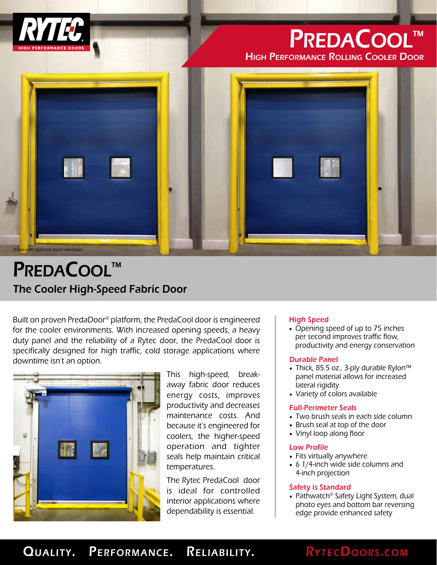

# PREDACOOL™

High Performance Rolling Cooler Door



## The Cooler High-Speed Fabric Door PREDACOOL™

Built on proven PredaDoor® platform, the PredaCool door is engineered for the cooler environments. With increased opening speeds, a heavy duty panel and the reliability of a Rytec door, the PredaCool door is specifically designed for high traffic, cold storage applications where downtime isn't an option.



This high-speed, breakaway fabric door reduces energy costs, improves productivity and decreases maintenance costs. And because it's engineered for coolers, the higher-speed operation and tighter seals help maintain critical temperatures.

The Rytec PredaCool door is ideal for controlled interior applications where dependability is essential.

#### High Speed

• Opening speed of up to 75 inches per second improves traffic flow, productivity and energy conservation

#### Durable Panel

- Thick, 85.5 oz., 3-ply durable Rylon™ panel material allows for increased lateral rigidity
- Variety of colors available

#### Full-Perimeter Seals

- Two brush seals in each side column
- Brush seal at top of the door
- Vinyl loop along floor

#### Low Profile

- Fits virtually anywhere
- 6 1/4-inch wide side columns and 4-inch projection

#### Safety is Standard

• Pathwatch® Safety Light System, dual photo eyes and bottom bar reversing edge provide enhanced safety

### QUALITY. PERFORMANCE. RELIABILITY. RYTECDOORS.COM